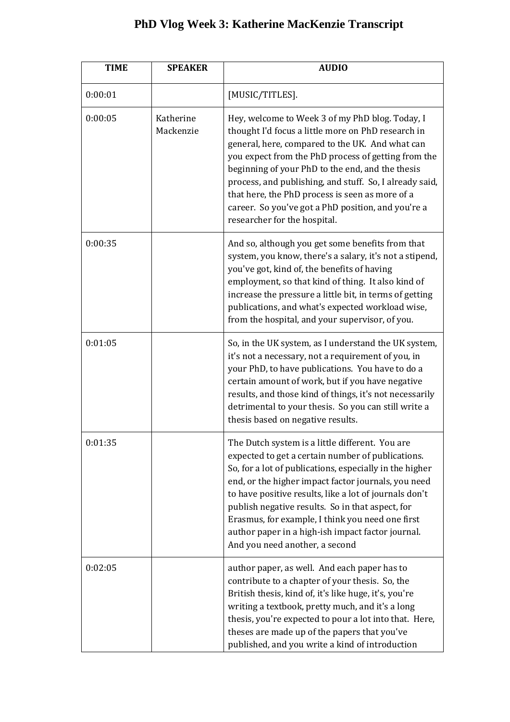## **PhD Vlog Week 3: Katherine MacKenzie Transcript**

| <b>TIME</b> | <b>SPEAKER</b>         | <b>AUDIO</b>                                                                                                                                                                                                                                                                                                                                                                                                                                                                    |
|-------------|------------------------|---------------------------------------------------------------------------------------------------------------------------------------------------------------------------------------------------------------------------------------------------------------------------------------------------------------------------------------------------------------------------------------------------------------------------------------------------------------------------------|
| 0:00:01     |                        | [MUSIC/TITLES].                                                                                                                                                                                                                                                                                                                                                                                                                                                                 |
| 0:00:05     | Katherine<br>Mackenzie | Hey, welcome to Week 3 of my PhD blog. Today, I<br>thought I'd focus a little more on PhD research in<br>general, here, compared to the UK. And what can<br>you expect from the PhD process of getting from the<br>beginning of your PhD to the end, and the thesis<br>process, and publishing, and stuff. So, I already said,<br>that here, the PhD process is seen as more of a<br>career. So you've got a PhD position, and you're a<br>researcher for the hospital.         |
| 0:00:35     |                        | And so, although you get some benefits from that<br>system, you know, there's a salary, it's not a stipend,<br>you've got, kind of, the benefits of having<br>employment, so that kind of thing. It also kind of<br>increase the pressure a little bit, in terms of getting<br>publications, and what's expected workload wise,<br>from the hospital, and your supervisor, of you.                                                                                              |
| 0:01:05     |                        | So, in the UK system, as I understand the UK system,<br>it's not a necessary, not a requirement of you, in<br>your PhD, to have publications. You have to do a<br>certain amount of work, but if you have negative<br>results, and those kind of things, it's not necessarily<br>detrimental to your thesis. So you can still write a<br>thesis based on negative results.                                                                                                      |
| 0:01:35     |                        | The Dutch system is a little different. You are<br>expected to get a certain number of publications.<br>So, for a lot of publications, especially in the higher<br>end, or the higher impact factor journals, you need<br>to have positive results, like a lot of journals don't<br>publish negative results. So in that aspect, for<br>Erasmus, for example, I think you need one first<br>author paper in a high-ish impact factor journal.<br>And you need another, a second |
| 0:02:05     |                        | author paper, as well. And each paper has to<br>contribute to a chapter of your thesis. So, the<br>British thesis, kind of, it's like huge, it's, you're<br>writing a textbook, pretty much, and it's a long<br>thesis, you're expected to pour a lot into that. Here,<br>theses are made up of the papers that you've<br>published, and you write a kind of introduction                                                                                                       |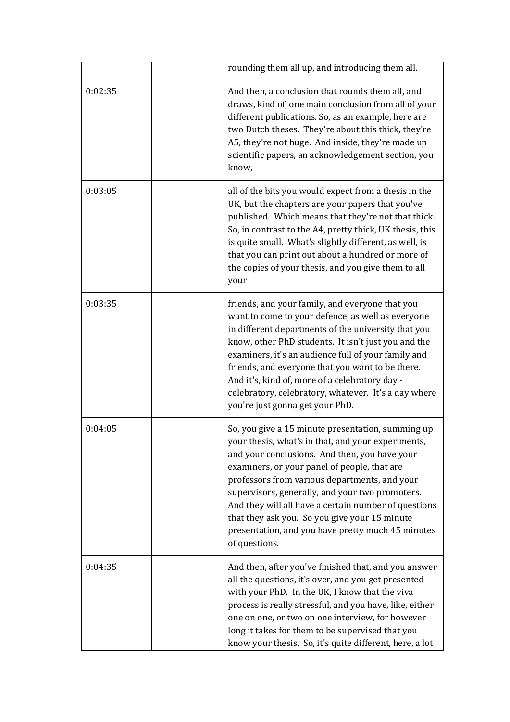|         | rounding them all up, and introducing them all.                                                                                                                                                                                                                                                                                                                                                                                                                                             |
|---------|---------------------------------------------------------------------------------------------------------------------------------------------------------------------------------------------------------------------------------------------------------------------------------------------------------------------------------------------------------------------------------------------------------------------------------------------------------------------------------------------|
| 0:02:35 | And then, a conclusion that rounds them all, and<br>draws, kind of, one main conclusion from all of your<br>different publications. So, as an example, here are<br>two Dutch theses. They're about this thick, they're<br>A5, they're not huge. And inside, they're made up<br>scientific papers, an acknowledgement section, you<br>know,                                                                                                                                                  |
| 0:03:05 | all of the bits you would expect from a thesis in the<br>UK, but the chapters are your papers that you've<br>published. Which means that they're not that thick.<br>So, in contrast to the A4, pretty thick, UK thesis, this<br>is quite small. What's slightly different, as well, is<br>that you can print out about a hundred or more of<br>the copies of your thesis, and you give them to all<br>your                                                                                  |
| 0:03:35 | friends, and your family, and everyone that you<br>want to come to your defence, as well as everyone<br>in different departments of the university that you<br>know, other PhD students. It isn't just you and the<br>examiners, it's an audience full of your family and<br>friends, and everyone that you want to be there.<br>And it's, kind of, more of a celebratory day -<br>celebratory, celebratory, whatever. It's a day where<br>you're just gonna get your PhD.                  |
| 0:04:05 | So, you give a 15 minute presentation, summing up<br>your thesis, what's in that, and your experiments,<br>and your conclusions. And then, you have your<br>examiners, or your panel of people, that are<br>professors from various departments, and your<br>supervisors, generally, and your two promoters.<br>And they will all have a certain number of questions<br>that they ask you. So you give your 15 minute<br>presentation, and you have pretty much 45 minutes<br>of questions. |
| 0:04:35 | And then, after you've finished that, and you answer<br>all the questions, it's over, and you get presented<br>with your PhD. In the UK, I know that the viva<br>process is really stressful, and you have, like, either<br>one on one, or two on one interview, for however<br>long it takes for them to be supervised that you<br>know your thesis. So, it's quite different, here, a lot                                                                                                 |